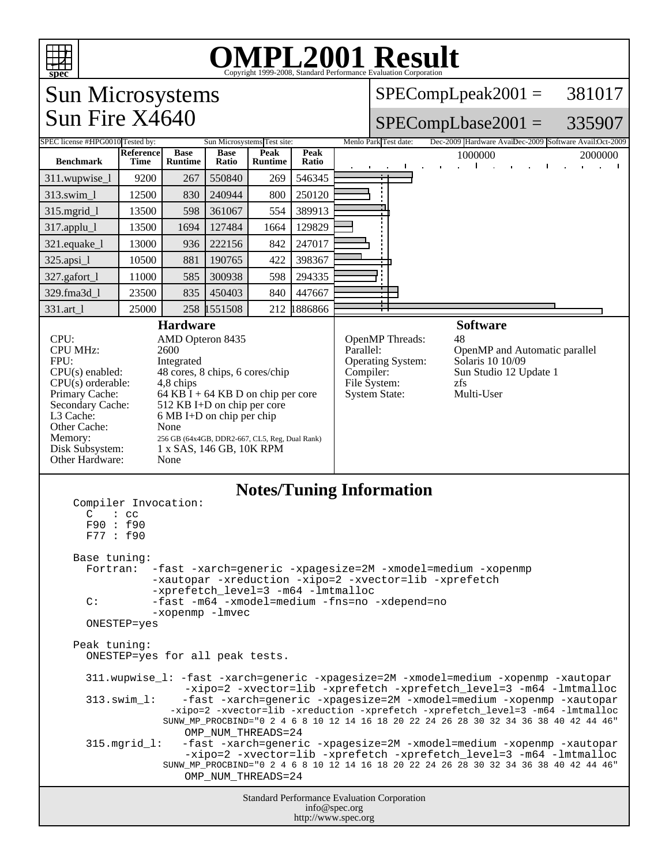

# OMPL2001 Result 1999-2008, Standard Performance Evaluation Corporation

### Sun Microsystems Sun Fire X4640

SPECompLpeak2001 = 381017

### SPECompLbase2001 = 335907 SPEC license #HPG0010 Tested by: Sun Microsystems Test site: Menlo Park Test date: Dec-2009 Hardware AvailDec-2009 Software Avail:Oct-2009

| <b>Benchmark</b>                                                                                                                                                                                                                                                                                                                                                                                                                                                                                                                                                                                                                                                                                                                                                                                                                                                                                                                      | <b>Reference</b><br>Time | <b>Base</b><br><b>Runtime</b>                                                          | <b>Base</b><br>Ratio                                                                                                                                                                                              | Peak<br><b>Runtime</b> | Peak<br>Ratio | 2000000<br>1000000<br>$\mathbf{I}$<br>$\mathbf{I}$                                                                                                                                                                                  |  |
|---------------------------------------------------------------------------------------------------------------------------------------------------------------------------------------------------------------------------------------------------------------------------------------------------------------------------------------------------------------------------------------------------------------------------------------------------------------------------------------------------------------------------------------------------------------------------------------------------------------------------------------------------------------------------------------------------------------------------------------------------------------------------------------------------------------------------------------------------------------------------------------------------------------------------------------|--------------------------|----------------------------------------------------------------------------------------|-------------------------------------------------------------------------------------------------------------------------------------------------------------------------------------------------------------------|------------------------|---------------|-------------------------------------------------------------------------------------------------------------------------------------------------------------------------------------------------------------------------------------|--|
| 311.wupwise_1                                                                                                                                                                                                                                                                                                                                                                                                                                                                                                                                                                                                                                                                                                                                                                                                                                                                                                                         | 9200                     | 267                                                                                    | 550840                                                                                                                                                                                                            | 269                    | 546345        | ÷                                                                                                                                                                                                                                   |  |
| 313.swim_1                                                                                                                                                                                                                                                                                                                                                                                                                                                                                                                                                                                                                                                                                                                                                                                                                                                                                                                            | 12500                    | 830                                                                                    | 240944                                                                                                                                                                                                            | 800                    | 250120        |                                                                                                                                                                                                                                     |  |
| $315$ .mgrid $_l$                                                                                                                                                                                                                                                                                                                                                                                                                                                                                                                                                                                                                                                                                                                                                                                                                                                                                                                     | 13500                    | 598                                                                                    | 361067                                                                                                                                                                                                            | 554                    | 389913        |                                                                                                                                                                                                                                     |  |
| $317$ .applu_l                                                                                                                                                                                                                                                                                                                                                                                                                                                                                                                                                                                                                                                                                                                                                                                                                                                                                                                        | 13500                    | 1694                                                                                   | 127484                                                                                                                                                                                                            | 1664                   | 129829        |                                                                                                                                                                                                                                     |  |
| 321.equake_l                                                                                                                                                                                                                                                                                                                                                                                                                                                                                                                                                                                                                                                                                                                                                                                                                                                                                                                          | 13000                    | 936                                                                                    | 222156                                                                                                                                                                                                            | 842                    | 247017        |                                                                                                                                                                                                                                     |  |
| 325.apsi_1                                                                                                                                                                                                                                                                                                                                                                                                                                                                                                                                                                                                                                                                                                                                                                                                                                                                                                                            | 10500                    | 881                                                                                    | 190765                                                                                                                                                                                                            | 422                    | 398367        |                                                                                                                                                                                                                                     |  |
| 327.gafort_1                                                                                                                                                                                                                                                                                                                                                                                                                                                                                                                                                                                                                                                                                                                                                                                                                                                                                                                          | 11000                    | 585                                                                                    | 300938                                                                                                                                                                                                            | 598                    | 294335        |                                                                                                                                                                                                                                     |  |
| 329.fma3d_1                                                                                                                                                                                                                                                                                                                                                                                                                                                                                                                                                                                                                                                                                                                                                                                                                                                                                                                           | 23500                    | 835                                                                                    | 450403                                                                                                                                                                                                            | 840                    | 447667        |                                                                                                                                                                                                                                     |  |
| 331.art 1                                                                                                                                                                                                                                                                                                                                                                                                                                                                                                                                                                                                                                                                                                                                                                                                                                                                                                                             | 25000                    | 258                                                                                    | 1551508                                                                                                                                                                                                           |                        | 212 1886866   |                                                                                                                                                                                                                                     |  |
| CPU:<br><b>CPU MHz:</b><br>FPU:<br>$CPU(s)$ enabled:<br>$CPU(s)$ orderable:<br>Primary Cache:<br>Secondary Cache:<br>L3 Cache:<br>Other Cache:<br>Memory:<br>Disk Subsystem:<br>Other Hardware:                                                                                                                                                                                                                                                                                                                                                                                                                                                                                                                                                                                                                                                                                                                                       |                          | <b>Hardware</b><br>AMD Opteron 8435<br>2600<br>Integrated<br>4,8 chips<br>None<br>None | 48 cores, 8 chips, 6 cores/chip<br>64 KB I + 64 KB D on chip per core<br>512 KB I+D on chip per core<br>$6 MB I+D$ on chip per chip<br>256 GB (64x4GB, DDR2-667, CL5, Reg, Dual Rank)<br>1 x SAS, 146 GB, 10K RPM |                        |               | <b>Software</b><br>OpenMP Threads:<br>48<br>Parallel:<br>OpenMP and Automatic parallel<br>Operating System:<br>Solaris 10 10/09<br>Sun Studio 12 Update 1<br>Compiler:<br>File System:<br>zfs<br>Multi-User<br><b>System State:</b> |  |
| $\mathsf{C}$<br>$:$ cc<br>F90 : f90<br>F77: f90<br>Base tuning:<br>-fast -xarch=generic -xpagesize=2M -xmodel=medium -xopenmp<br>Fortran:<br>-xautopar -xreduction -xipo=2 -xvector=lib -xprefetch<br>-xprefetch_level=3 -m64 -lmtmalloc<br>C:<br>-fast -m64 -xmodel=medium -fns=no -xdepend=no<br>-xopenmp -lmvec<br>ONESTEP=yes<br>Peak tuning:<br>ONESTEP=yes for all peak tests.<br>311.wupwise_1: -fast -xarch=generic -xpagesize=2M -xmodel=medium -xopenmp -xautopar<br>-xipo=2 -xvector=lib -xprefetch -xprefetch_level=3 -m64 -lmtmalloc<br>-fast -xarch=qeneric -xpaqesize=2M -xmodel=medium -xopenmp -xautopar<br>$313.swin_l:$<br>-xipo=2 -xvector=lib -xreduction -xprefetch -xprefetch_level=3 -m64 -lmtmalloc<br>SUNW_MP_PROCBIND="0 2 4 6 8 10 12 14 16 18 20 22 24 26 28 30 32 34 36 38 40 42 44 46"<br>OMP_NUM_THREADS=24<br>$315.mgrid_l:$<br>-fast -xarch=generic -xpagesize=2M -xmodel=medium -xopenmp -xautopar |                          |                                                                                        |                                                                                                                                                                                                                   |                        |               |                                                                                                                                                                                                                                     |  |
| -xipo=2 -xvector=lib -xprefetch -xprefetch_level=3 -m64 -lmtmalloc<br>SUNW_MP_PROCBIND="0 2 4 6 8 10 12 14 16 18 20 22 24 26 28 30 32 34 36 38 40 42 44 46"<br>OMP_NUM_THREADS=24                                                                                                                                                                                                                                                                                                                                                                                                                                                                                                                                                                                                                                                                                                                                                     |                          |                                                                                        |                                                                                                                                                                                                                   |                        |               |                                                                                                                                                                                                                                     |  |
| Standard Performance Evaluation Corporation<br>info@spec.org<br>http://www.spec.org                                                                                                                                                                                                                                                                                                                                                                                                                                                                                                                                                                                                                                                                                                                                                                                                                                                   |                          |                                                                                        |                                                                                                                                                                                                                   |                        |               |                                                                                                                                                                                                                                     |  |